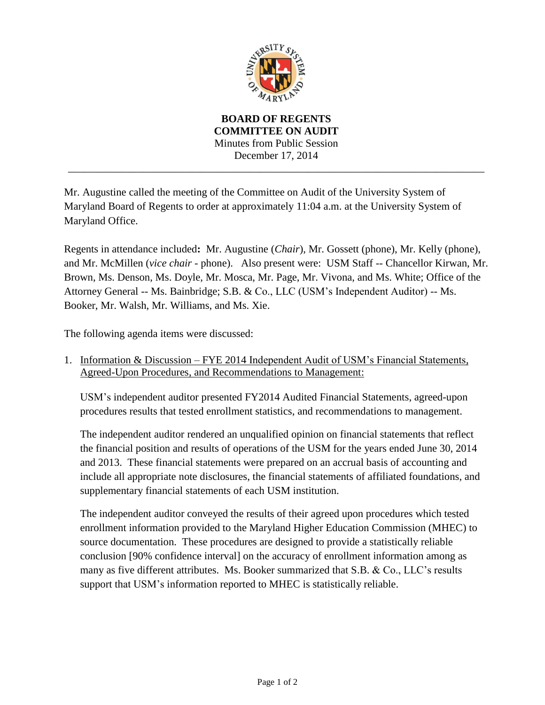

**BOARD OF REGENTS COMMITTEE ON AUDIT** Minutes from Public Session December 17, 2014 \_\_\_\_\_\_\_\_\_\_\_\_\_\_\_\_\_\_\_\_\_\_\_\_\_\_\_\_\_\_\_\_\_\_\_\_\_\_\_\_\_\_\_\_\_\_\_\_\_\_\_\_\_\_\_\_\_\_\_\_\_\_\_\_\_\_\_\_\_\_\_\_\_\_\_\_\_\_

Mr. Augustine called the meeting of the Committee on Audit of the University System of Maryland Board of Regents to order at approximately 11:04 a.m. at the University System of Maryland Office.

Regents in attendance included**:** Mr. Augustine (*Chair*), Mr. Gossett (phone), Mr. Kelly (phone), and Mr. McMillen (*vice chair* - phone). Also present were: USM Staff -- Chancellor Kirwan, Mr. Brown, Ms. Denson, Ms. Doyle, Mr. Mosca, Mr. Page, Mr. Vivona, and Ms. White; Office of the Attorney General -- Ms. Bainbridge; S.B. & Co., LLC (USM's Independent Auditor) -- Ms. Booker, Mr. Walsh, Mr. Williams, and Ms. Xie.

The following agenda items were discussed:

1. Information & Discussion – FYE 2014 Independent Audit of USM's Financial Statements, Agreed-Upon Procedures, and Recommendations to Management:

USM's independent auditor presented FY2014 Audited Financial Statements, agreed-upon procedures results that tested enrollment statistics, and recommendations to management.

The independent auditor rendered an unqualified opinion on financial statements that reflect the financial position and results of operations of the USM for the years ended June 30, 2014 and 2013. These financial statements were prepared on an accrual basis of accounting and include all appropriate note disclosures, the financial statements of affiliated foundations, and supplementary financial statements of each USM institution.

The independent auditor conveyed the results of their agreed upon procedures which tested enrollment information provided to the Maryland Higher Education Commission (MHEC) to source documentation. These procedures are designed to provide a statistically reliable conclusion [90% confidence interval] on the accuracy of enrollment information among as many as five different attributes. Ms. Booker summarized that  $S.B. \& Co., LLC$ 's results support that USM's information reported to MHEC is statistically reliable.